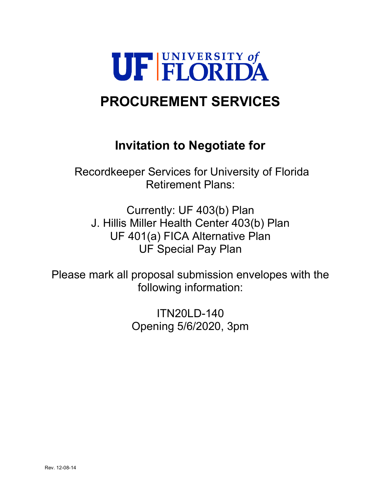

# **PROCUREMENT SERVICES**

# **Invitation to Negotiate for**

Recordkeeper Services for University of Florida Retirement Plans:

Currently: UF 403(b) Plan J. Hillis Miller Health Center 403(b) Plan UF 401(a) FICA Alternative Plan UF Special Pay Plan

Please mark all proposal submission envelopes with the following information:

> ITN20LD-140 Opening 5/6/2020, 3pm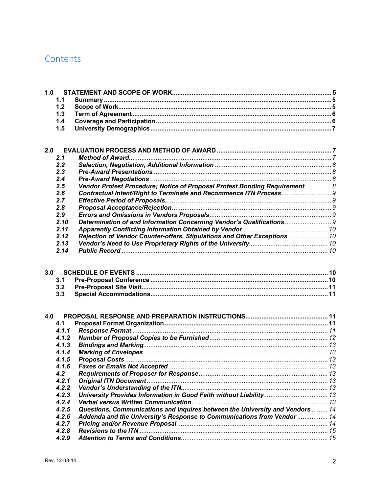## Contents

| 2.0 |               |                                                                            |  |
|-----|---------------|----------------------------------------------------------------------------|--|
|     | 2.1           |                                                                            |  |
|     | 2.2           |                                                                            |  |
|     | 2.3           |                                                                            |  |
|     | 2.4           |                                                                            |  |
|     | $2.5^{\circ}$ | Vendor Protest Procedure; Notice of Proposal Protest Bonding Requirement 8 |  |
|     | 2.6           |                                                                            |  |
|     | 2.7           |                                                                            |  |
|     | 2.8           |                                                                            |  |
|     | 2.9           |                                                                            |  |
|     | 2.10          | Determination of and Information Concerning Vendor's Qualifications        |  |
|     | 2.11          |                                                                            |  |
|     | 2.12          | Rejection of Vendor Counter-offers, Stipulations and Other Exceptions  10  |  |
|     | 2.13          |                                                                            |  |
|     | 2.14          |                                                                            |  |
|     |               |                                                                            |  |

| 4.1<br>4.1.1<br>4.1.2<br>4.1.3<br>4.1.4<br>4.1.5<br>4.1.6<br>4.2                       |  |
|----------------------------------------------------------------------------------------|--|
|                                                                                        |  |
|                                                                                        |  |
|                                                                                        |  |
|                                                                                        |  |
|                                                                                        |  |
|                                                                                        |  |
|                                                                                        |  |
|                                                                                        |  |
| 4.2.1                                                                                  |  |
| 4.2.2                                                                                  |  |
| 4.2.3                                                                                  |  |
| 4.2.4                                                                                  |  |
| Questions, Communications and Inquires between the University and Vendors  14<br>4.2.5 |  |
| Addenda and the University's Response to Communications from Vendor  14<br>4.2.6       |  |
| 4.2.7                                                                                  |  |
| 4.2.8                                                                                  |  |
| 4.2.9                                                                                  |  |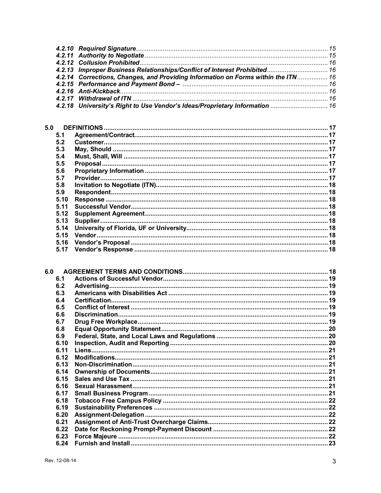| 4.2.13 Improper Business Relationships/Conflict of Interest Prohibited 16         |  |
|-----------------------------------------------------------------------------------|--|
| 4.2.14 Corrections, Changes, and Providing Information on Forms within the ITN 16 |  |
|                                                                                   |  |
|                                                                                   |  |
|                                                                                   |  |
|                                                                                   |  |

| 5.0  |  |
|------|--|
| 5.1  |  |
| 5.2  |  |
| 5.3  |  |
| 5.4  |  |
| 5.5  |  |
| 5.6  |  |
| 5.7  |  |
| 5.8  |  |
| 5.9  |  |
| 5.10 |  |
| 5.11 |  |
| 5.12 |  |
| 5.13 |  |
| 5.14 |  |
| 5.15 |  |
| 5.16 |  |
| 5.17 |  |

| 6.1  |     |  |
|------|-----|--|
| 6.2  |     |  |
| 6.3  |     |  |
| 6.4  |     |  |
| 6.5  |     |  |
| 6.6  |     |  |
| 6.7  |     |  |
| 6.8  |     |  |
| 6.9  |     |  |
| 6.10 |     |  |
| 6.11 |     |  |
| 6.12 |     |  |
| 6.13 |     |  |
| 6.14 |     |  |
| 6.15 |     |  |
| 6.16 |     |  |
| 6.17 |     |  |
| 6.18 |     |  |
| 6.19 |     |  |
| 6.20 |     |  |
| 6.21 |     |  |
| 6.22 |     |  |
| 6.23 |     |  |
| 6.24 |     |  |
|      | 6.0 |  |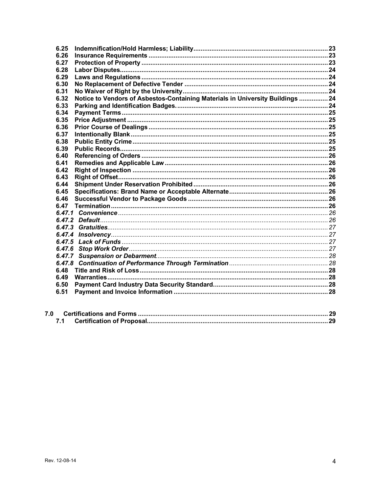| 6.25   |                                                                                |  |
|--------|--------------------------------------------------------------------------------|--|
| 6.26   |                                                                                |  |
| 6.27   |                                                                                |  |
| 6.28   |                                                                                |  |
| 6.29   |                                                                                |  |
| 6.30   |                                                                                |  |
| 6.31   |                                                                                |  |
| 6.32   | Notice to Vendors of Asbestos-Containing Materials in University Buildings  24 |  |
| 6.33   |                                                                                |  |
| 6.34   |                                                                                |  |
| 6.35   |                                                                                |  |
| 6.36   |                                                                                |  |
| 6.37   |                                                                                |  |
| 6.38   |                                                                                |  |
| 6.39   |                                                                                |  |
| 6.40   |                                                                                |  |
| 6.41   |                                                                                |  |
| 6.42   |                                                                                |  |
| 6.43   |                                                                                |  |
| 6.44   |                                                                                |  |
| 6.45   |                                                                                |  |
| 6.46   |                                                                                |  |
| 6.47   |                                                                                |  |
|        |                                                                                |  |
|        |                                                                                |  |
|        |                                                                                |  |
| 6.47.4 |                                                                                |  |
| 6.47.5 |                                                                                |  |
| 6.47.6 |                                                                                |  |
| 6.47.7 |                                                                                |  |
| 6.47.8 |                                                                                |  |
| 6.48   |                                                                                |  |
| 6.49   |                                                                                |  |
| 6.50   |                                                                                |  |
| 6.51   |                                                                                |  |
|        |                                                                                |  |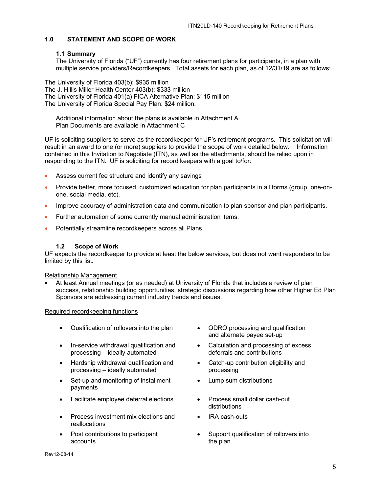## <span id="page-4-0"></span>**1.0 STATEMENT AND SCOPE OF WORK**

#### <span id="page-4-1"></span>**1.1 Summary**

The University of Florida ("UF") currently has four retirement plans for participants, in a plan with multiple service providers/Recordkeepers. Total assets for each plan, as of 12/31/19 are as follows:

The University of Florida 403(b): \$935 million The J. Hillis Miller Health Center 403(b): \$333 million The University of Florida 401(a) FICA Alternative Plan: \$115 million The University of Florida Special Pay Plan: \$24 million.

Additional information about the plans is available in Attachment A Plan Documents are available in Attachment C

UF is soliciting suppliers to serve as the recordkeeper for UF's retirement programs. This solicitation will result in an award to one (or more) suppliers to provide the scope of work detailed below. Information contained in this Invitation to Negotiate (ITN), as well as the attachments, should be relied upon in responding to the ITN. UF is soliciting for record keepers with a goal to/for:

- Assess current fee structure and identify any savings
- Provide better, more focused, customized education for plan participants in all forms (group, one-onone, social media, etc).
- Improve accuracy of administration data and communication to plan sponsor and plan participants.
- Further automation of some currently manual administration items.
- Potentially streamline recordkeepers across all Plans.

#### **1.2 Scope of Work**

<span id="page-4-2"></span>UF expects the recordkeeper to provide at least the below services, but does not want responders to be limited by this list.

Relationship Management

• At least Annual meetings (or as needed) at University of Florida that includes a review of plan success, relationship building opportunities, strategic discussions regarding how other Higher Ed Plan Sponsors are addressing current industry trends and issues.

Required recordkeeping functions

- Qualification of rollovers into the plan QDRO processing and qualification
- In-service withdrawal qualification and processing – ideally automated
- Hardship withdrawal qualification and processing – ideally automated
- Set-up and monitoring of installment payments
- Facilitate employee deferral elections Process small dollar cash-out
- Process investment mix elections and reallocations
- Post contributions to participant accounts
- and alternate payee set-up
- Calculation and processing of excess deferrals and contributions
- Catch-up contribution eligibility and processing
- Lump sum distributions
- distributions
- IRA cash-outs
- Support qualification of rollovers into the plan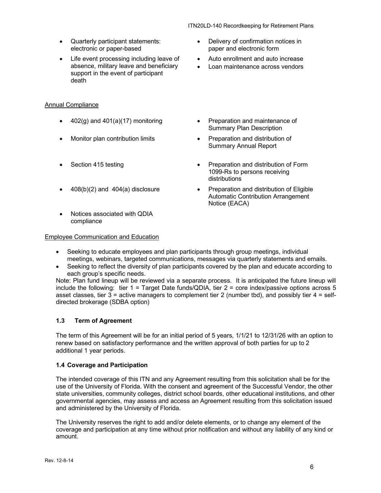- Quarterly participant statements: electronic or paper-based
- Life event processing including leave of absence, military leave and beneficiary support in the event of participant death

## Annual Compliance

- 
- 
- 
- 
- Notices associated with QDIA compliance

## Employee Communication and Education

- Delivery of confirmation notices in paper and electronic form
- Auto enrollment and auto increase
- Loan maintenance across vendors
- $402(q)$  and  $401(a)(17)$  monitoring  $\bullet$  Preparation and maintenance of Summary Plan Description
- Monitor plan contribution limits Preparation and distribution of Summary Annual Report
- Section 415 testing Preparation and distribution of Form 1099-Rs to persons receiving distributions
- 408(b)(2) and 404(a) disclosure Preparation and distribution of Eligible Automatic Contribution Arrangement Notice (EACA)
- Seeking to educate employees and plan participants through group meetings, individual meetings, webinars, targeted communications, messages via quarterly statements and emails.
- Seeking to reflect the diversity of plan participants covered by the plan and educate according to each group's specific needs.

Note: Plan fund lineup will be reviewed via a separate process. It is anticipated the future lineup will include the following: tier 1 = Target Date funds/QDIA, tier 2 = core index/passive options across 5 asset classes, tier  $3$  = active managers to complement tier 2 (number tbd), and possibly tier  $4$  = selfdirected brokerage (SDBA option)

## <span id="page-5-0"></span>**1.3 Term of Agreement**

The term of this Agreement will be for an initial period of 5 years, 1/1/21 to 12/31/26 with an option to renew based on satisfactory performance and the written approval of both parties for up to 2 additional 1 year periods.

## <span id="page-5-1"></span>**1.4 Coverage and Participation**

The intended coverage of this ITN and any Agreement resulting from this solicitation shall be for the use of the University of Florida. With the consent and agreement of the Successful Vendor, the other state universities, community colleges, district school boards, other educational institutions, and other governmental agencies, may assess and access an Agreement resulting from this solicitation issued and administered by the University of Florida.

The University reserves the right to add and/or delete elements, or to change any element of the coverage and participation at any time without prior notification and without any liability of any kind or amount.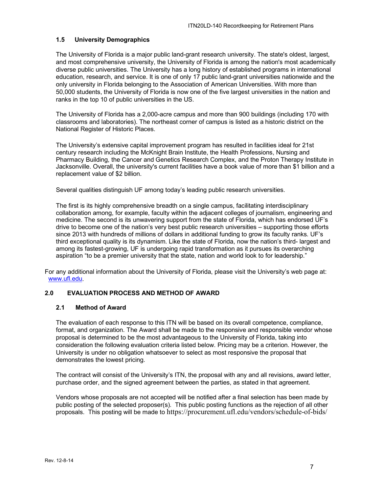### <span id="page-6-0"></span>**1.5 University Demographics**

The University of Florida is a major public land-grant research university. The state's oldest, largest, and most comprehensive university, the University of Florida is among the nation's most academically diverse public universities. The University has a long history of established programs in international education, research, and service. It is one of only 17 public land-grant universities nationwide and the only university in Florida belonging to the Association of American Universities. With more than 50,000 students, the University of Florida is now one of the five largest universities in the nation and ranks in the top 10 of public universities in the US.

The University of Florida has a 2,000-acre campus and more than 900 buildings (including 170 with classrooms and laboratories). The northeast corner of campus is listed as a historic district on the National Register of Historic Places.

The University's extensive capital improvement program has resulted in facilities ideal for 21st century research including the McKnight Brain Institute, the Health Professions, Nursing and Pharmacy Building, the Cancer and Genetics Research Complex, and the Proton Therapy Institute in Jacksonville. Overall, the university's current facilities have a book value of more than \$1 billion and a replacement value of \$2 billion.

Several qualities distinguish UF among today's leading public research universities.

The first is its highly comprehensive breadth on a single campus, facilitating interdisciplinary collaboration among, for example, faculty within the adjacent colleges of journalism, engineering and medicine. The second is its unwavering support from the state of Florida, which has endorsed UF's drive to become one of the nation's very best public research universities – supporting those efforts since 2013 with hundreds of millions of dollars in additional funding to grow its faculty ranks. UF's third exceptional quality is its dynamism. Like the state of Florida, now the nation's third- largest and among its fastest-growing, UF is undergoing rapid transformation as it pursues its overarching aspiration "to be a premier university that the state, nation and world look to for leadership."

For any additional information about the University of Florida, please visit the University's web page at: [www.ufl.edu.](http://www.ufl.edu/)

#### <span id="page-6-1"></span>**2.0 EVALUATION PROCESS AND METHOD OF AWARD**

#### <span id="page-6-2"></span>**2.1 Method of Award**

The evaluation of each response to this ITN will be based on its overall competence, compliance, format, and organization. The Award shall be made to the responsive and responsible vendor whose proposal is determined to be the most advantageous to the University of Florida, taking into consideration the following evaluation criteria listed below. Pricing may be a criterion. However, the University is under no obligation whatsoever to select as most responsive the proposal that demonstrates the lowest pricing.

The contract will consist of the University's ITN, the proposal with any and all revisions, award letter, purchase order, and the signed agreement between the parties, as stated in that agreement.

Vendors whose proposals are not accepted will be notified after a final selection has been made by public posting of the selected proposer(s). This public posting functions as the rejection of all other proposals. This posting will be made to https://procurement.ufl.edu/vendors/schedule-of-bids/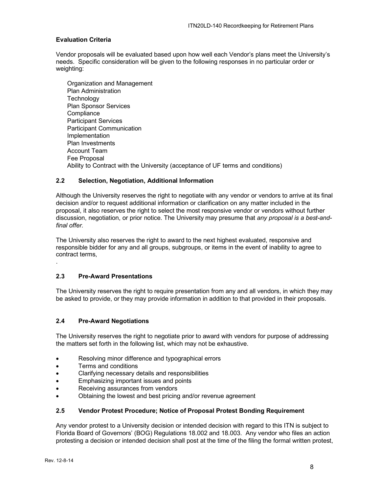#### **Evaluation Criteria**

Vendor proposals will be evaluated based upon how well each Vendor's plans meet the University's needs. Specific consideration will be given to the following responses in no particular order or weighting:

Organization and Management Plan Administration **Technology** Plan Sponsor Services **Compliance** Participant Services Participant Communication Implementation Plan Investments Account Team Fee Proposal Ability to Contract with the University (acceptance of UF terms and conditions)

#### <span id="page-7-0"></span>**2.2 Selection, Negotiation, Additional Information**

Although the University reserves the right to negotiate with any vendor or vendors to arrive at its final decision and/or to request additional information or clarification on any matter included in the proposal, it also reserves the right to select the most responsive vendor or vendors without further discussion, negotiation, or prior notice. The University may presume that *any proposal is a best-andfinal offer.*

The University also reserves the right to award to the next highest evaluated, responsive and responsible bidder for any and all groups, subgroups, or items in the event of inability to agree to contract terms,

#### <span id="page-7-1"></span>**2.3 Pre-Award Presentations**

The University reserves the right to require presentation from any and all vendors, in which they may be asked to provide, or they may provide information in addition to that provided in their proposals.

#### <span id="page-7-2"></span>**2.4 Pre-Award Negotiations**

The University reserves the right to negotiate prior to award with vendors for purpose of addressing the matters set forth in the following list, which may not be exhaustive.

- Resolving minor difference and typographical errors
- Terms and conditions
- Clarifying necessary details and responsibilities
- Emphasizing important issues and points
- Receiving assurances from vendors
- Obtaining the lowest and best pricing and/or revenue agreement

#### <span id="page-7-3"></span>**2.5 Vendor Protest Procedure; Notice of Proposal Protest Bonding Requirement**

Any vendor protest to a University decision or intended decision with regard to this ITN is subject to Florida Board of Governors' (BOG) Regulations 18.002 and 18.003. Any vendor who files an action protesting a decision or intended decision shall post at the time of the filing the formal written protest,

.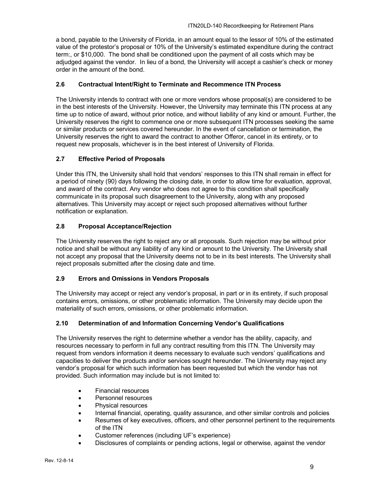a bond, payable to the University of Florida, in an amount equal to the lessor of 10% of the estimated value of the protestor's proposal or 10% of the University's estimated expenditure during the contract term:, or \$10,000. The bond shall be conditioned upon the payment of all costs which may be adjudged against the vendor. In lieu of a bond, the University will accept a cashier's check or money order in the amount of the bond.

## <span id="page-8-0"></span>**2.6 Contractual Intent/Right to Terminate and Recommence ITN Process**

The University intends to contract with one or more vendors whose proposal(s) are considered to be in the best interests of the University. However, the University may terminate this ITN process at any time up to notice of award, without prior notice, and without liability of any kind or amount. Further, the University reserves the right to commence one or more subsequent ITN processes seeking the same or similar products or services covered hereunder. In the event of cancellation or termination, the University reserves the right to award the contract to another Offeror, cancel in its entirety, or to request new proposals, whichever is in the best interest of University of Florida.

## <span id="page-8-1"></span>**2.7 Effective Period of Proposals**

Under this ITN, the University shall hold that vendors' responses to this ITN shall remain in effect for a period of ninety (90) days following the closing date, in order to allow time for evaluation, approval, and award of the contract. Any vendor who does not agree to this condition shall specifically communicate in its proposal such disagreement to the University, along with any proposed alternatives. This University may accept or reject such proposed alternatives without further notification or explanation.

## <span id="page-8-2"></span>**2.8 Proposal Acceptance/Rejection**

The University reserves the right to reject any or all proposals. Such rejection may be without prior notice and shall be without any liability of any kind or amount to the University. The University shall not accept any proposal that the University deems not to be in its best interests. The University shall reject proposals submitted after the closing date and time.

#### <span id="page-8-3"></span>**2.9 Errors and Omissions in Vendors Proposals**

The University may accept or reject any vendor's proposal, in part or in its entirety, if such proposal contains errors, omissions, or other problematic information. The University may decide upon the materiality of such errors, omissions, or other problematic information.

#### <span id="page-8-4"></span>**2.10 Determination of and Information Concerning Vendor's Qualifications**

The University reserves the right to determine whether a vendor has the ability, capacity, and resources necessary to perform in full any contract resulting from this ITN. The University may request from vendors information it deems necessary to evaluate such vendors' qualifications and capacities to deliver the products and/or services sought hereunder. The University may reject any vendor's proposal for which such information has been requested but which the vendor has not provided. Such information may include but is not limited to:

- Financial resources
- Personnel resources
- Physical resources
- Internal financial, operating, quality assurance, and other similar controls and policies
- Resumes of key executives, officers, and other personnel pertinent to the requirements of the ITN
- Customer references (including UF's experience)
- Disclosures of complaints or pending actions, legal or otherwise, against the vendor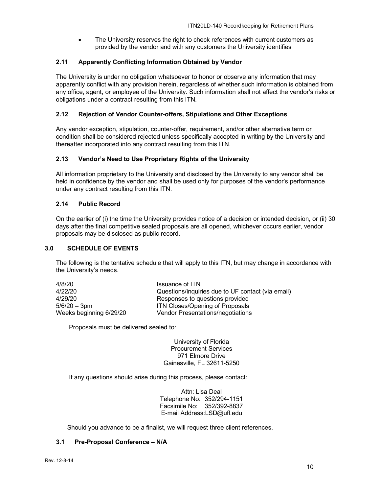The University reserves the right to check references with current customers as provided by the vendor and with any customers the University identifies

#### <span id="page-9-0"></span>**2.11 Apparently Conflicting Information Obtained by Vendor**

The University is under no obligation whatsoever to honor or observe any information that may apparently conflict with any provision herein, regardless of whether such information is obtained from any office, agent, or employee of the University. Such information shall not affect the vendor's risks or obligations under a contract resulting from this ITN.

#### <span id="page-9-1"></span>**2.12 Rejection of Vendor Counter-offers, Stipulations and Other Exceptions**

Any vendor exception, stipulation, counter-offer, requirement, and/or other alternative term or condition shall be considered rejected unless specifically accepted in writing by the University and thereafter incorporated into any contract resulting from this ITN.

#### <span id="page-9-2"></span>**2.13 Vendor's Need to Use Proprietary Rights of the University**

All information proprietary to the University and disclosed by the University to any vendor shall be held in confidence by the vendor and shall be used only for purposes of the vendor's performance under any contract resulting from this ITN.

#### <span id="page-9-3"></span>**2.14 Public Record**

On the earlier of (i) the time the University provides notice of a decision or intended decision, or (ii) 30 days after the final competitive sealed proposals are all opened, whichever occurs earlier, vendor proposals may be disclosed as public record.

#### <span id="page-9-4"></span>**3.0 SCHEDULE OF EVENTS**

The following is the tentative schedule that will apply to this ITN, but may change in accordance with the University's needs.

| 4/8/20                  | Issuance of ITN                                   |
|-------------------------|---------------------------------------------------|
| 4/22/20                 | Questions/inquiries due to UF contact (via email) |
| 4/29/20                 | Responses to questions provided                   |
| $5/6/20 - 3pm$          | <b>ITN Closes/Opening of Proposals</b>            |
| Weeks beginning 6/29/20 | Vendor Presentations/negotiations                 |

Proposals must be delivered sealed to:

University of Florida Procurement Services 971 Elmore Drive Gainesville, FL 32611-5250

If any questions should arise during this process, please contact:

Attn: Lisa Deal Telephone No: 352/294-1151 Facsimile No: 352/392-8837 E-mail Address:LSD@ufl.edu

Should you advance to be a finalist, we will request three client references.

#### <span id="page-9-5"></span>**3.1 Pre-Proposal Conference – N/A**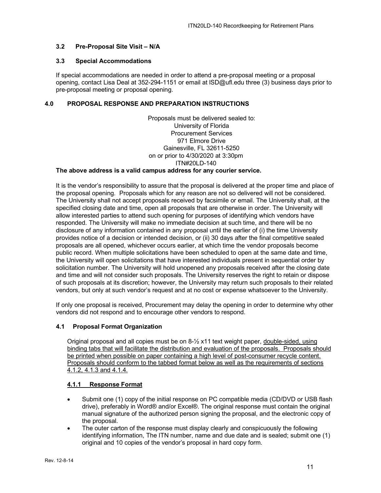#### <span id="page-10-0"></span>**3.2 Pre-Proposal Site Visit – N/A**

#### <span id="page-10-1"></span>**3.3 Special Accommodations**

If special accommodations are needed in order to attend a pre-proposal meeting or a proposal opening, contact Lisa Deal at 352-294-1151 or email at lSD@ufl.edu three (3) business days prior to pre-proposal meeting or proposal opening.

#### <span id="page-10-2"></span>**4.0 PROPOSAL RESPONSE AND PREPARATION INSTRUCTIONS**

Proposals must be delivered sealed to: University of Florida Procurement Services 971 Elmore Drive Gainesville, FL 32611-5250 on or prior to 4/30/2020 at 3:30pm ITN#20LD-140

#### **The above address is a valid campus address for any courier service.**

It is the vendor's responsibility to assure that the proposal is delivered at the proper time and place of the proposal opening. Proposals which for any reason are not so delivered will not be considered. The University shall not accept proposals received by facsimile or email. The University shall, at the specified closing date and time, open all proposals that are otherwise in order. The University will allow interested parties to attend such opening for purposes of identifying which vendors have responded. The University will make no immediate decision at such time, and there will be no disclosure of any information contained in any proposal until the earlier of (i) the time University provides notice of a decision or intended decision, or (ii) 30 days after the final competitive sealed proposals are all opened, whichever occurs earlier, at which time the vendor proposals become public record. When multiple solicitations have been scheduled to open at the same date and time, the University will open solicitations that have interested individuals present in sequential order by solicitation number. The University will hold unopened any proposals received after the closing date and time and will not consider such proposals. The University reserves the right to retain or dispose of such proposals at its discretion; however, the University may return such proposals to their related vendors, but only at such vendor's request and at no cost or expense whatsoever to the University.

If only one proposal is received, Procurement may delay the opening in order to determine why other vendors did not respond and to encourage other vendors to respond.

#### <span id="page-10-3"></span>**4.1 Proposal Format Organization**

Original proposal and all copies must be on  $8\frac{1}{2}$  x11 text weight paper, double-sided, using binding tabs that will facilitate the distribution and evaluation of the proposals. Proposals should be printed when possible on paper containing a high level of post-consumer recycle content. Proposals should conform to the tabbed format below as well as the requirements of sections 4.1.2, 4.1.3 and 4.1.4.

#### <span id="page-10-4"></span>**4.1.1 Response Format**

- Submit one (1) copy of the initial response on PC compatible media (CD/DVD or USB flash drive), preferably in Word® and/or Excel®. The original response must contain the original manual signature of the authorized person signing the proposal, and the electronic copy of the proposal.
- The outer carton of the response must display clearly and conspicuously the following identifying information, The ITN number, name and due date and is sealed; submit one (1) original and 10 copies of the vendor's proposal in hard copy form.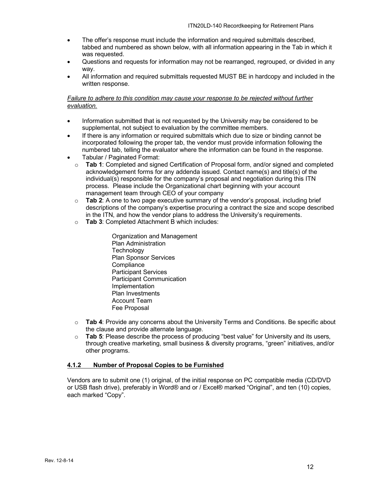- The offer's response must include the information and required submittals described, tabbed and numbered as shown below, with all information appearing in the Tab in which it was requested.
- Questions and requests for information may not be rearranged, regrouped, or divided in any way.
- All information and required submittals requested MUST BE in hardcopy and included in the written response.

#### *Failure to adhere to this condition may cause your response to be rejected without further evaluation.*

- Information submitted that is not requested by the University may be considered to be supplemental, not subject to evaluation by the committee members.
- If there is any information or required submittals which due to size or binding cannot be incorporated following the proper tab, the vendor must provide information following the numbered tab, telling the evaluator where the information can be found in the response.
- Tabular / Paginated Format:
	- o **Tab 1**: Completed and signed Certification of Proposal form, and/or signed and completed acknowledgement forms for any addenda issued. Contact name(s) and title(s) of the individual(s) responsible for the company's proposal and negotiation during this ITN process. Please include the Organizational chart beginning with your account management team through CEO of your company
	- o **Tab 2**: A one to two page executive summary of the vendor's proposal, including brief descriptions of the company's expertise procuring a contract the size and scope described in the ITN, and how the vendor plans to address the University's requirements.
	- o **Tab 3**: Completed Attachment B which includes:
		- Organization and Management Plan Administration **Technology** Plan Sponsor Services **Compliance** Participant Services Participant Communication Implementation Plan Investments Account Team Fee Proposal
	- o **Tab 4**: Provide any concerns about the University Terms and Conditions. Be specific about the clause and provide alternate language.
	- o **Tab 5**: Please describe the process of producing "best value" for University and its users, through creative marketing, small business & diversity programs, "green" initiatives, and/or other programs.

#### <span id="page-11-0"></span>**4.1.2 Number of Proposal Copies to be Furnished**

Vendors are to submit one (1) original, of the initial response on PC compatible media (CD/DVD or USB flash drive), preferably in Word® and or / Excel® marked "Original", and ten (10) copies, each marked "Copy".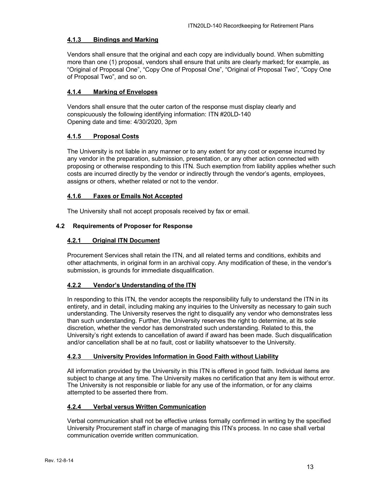#### <span id="page-12-0"></span>**4.1.3 Bindings and Marking**

Vendors shall ensure that the original and each copy are individually bound. When submitting more than one (1) proposal, vendors shall ensure that units are clearly marked; for example, as "Original of Proposal One", "Copy One of Proposal One", "Original of Proposal Two", "Copy One of Proposal Two", and so on.

#### <span id="page-12-1"></span>**4.1.4 Marking of Envelopes**

Vendors shall ensure that the outer carton of the response must display clearly and conspicuously the following identifying information: ITN #20LD-140 Opening date and time: 4/30/2020, 3pm

#### <span id="page-12-2"></span>**4.1.5 Proposal Costs**

The University is not liable in any manner or to any extent for any cost or expense incurred by any vendor in the preparation, submission, presentation, or any other action connected with proposing or otherwise responding to this ITN. Such exemption from liability applies whether such costs are incurred directly by the vendor or indirectly through the vendor's agents, employees, assigns or others, whether related or not to the vendor.

#### <span id="page-12-3"></span>**4.1.6 Faxes or Emails Not Accepted**

The University shall not accept proposals received by fax or email.

#### <span id="page-12-5"></span><span id="page-12-4"></span>**4.2 Requirements of Proposer for Response**

#### **4.2.1 Original ITN Document**

Procurement Services shall retain the ITN, and all related terms and conditions, exhibits and other attachments, in original form in an archival copy. Any modification of these, in the vendor's submission, is grounds for immediate disqualification.

#### <span id="page-12-6"></span>**4.2.2 Vendor's Understanding of the ITN**

In responding to this ITN, the vendor accepts the responsibility fully to understand the ITN in its entirety, and in detail, including making any inquiries to the University as necessary to gain such understanding. The University reserves the right to disqualify any vendor who demonstrates less than such understanding. Further, the University reserves the right to determine, at its sole discretion, whether the vendor has demonstrated such understanding. Related to this, the University's right extends to cancellation of award if award has been made. Such disqualification and/or cancellation shall be at no fault, cost or liability whatsoever to the University.

#### <span id="page-12-7"></span>**4.2.3 University Provides Information in Good Faith without Liability**

All information provided by the University in this ITN is offered in good faith. Individual items are subject to change at any time. The University makes no certification that any item is without error. The University is not responsible or liable for any use of the information, or for any claims attempted to be asserted there from.

#### <span id="page-12-8"></span>**4.2.4 Verbal versus Written Communication**

Verbal communication shall not be effective unless formally confirmed in writing by the specified University Procurement staff in charge of managing this ITN's process. In no case shall verbal communication override written communication.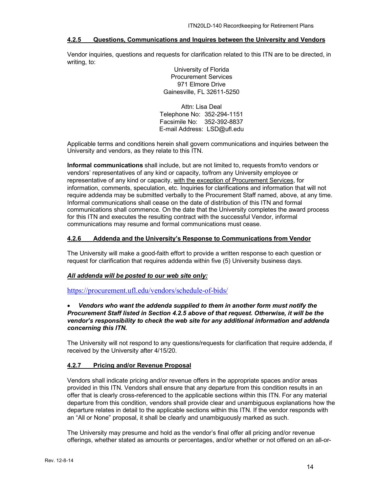#### <span id="page-13-0"></span>**4.2.5 Questions, Communications and Inquires between the University and Vendors**

Vendor inquiries, questions and requests for clarification related to this ITN are to be directed, in writing, to:

> University of Florida Procurement Services 971 Elmore Drive Gainesville, FL 32611-5250

Attn: Lisa Deal Telephone No: 352-294-1151 Facsimile No: 352-392-8837 E-mail Address: LSD@ufl.edu

Applicable terms and conditions herein shall govern communications and inquiries between the University and vendors, as they relate to this ITN.

**Informal communications** shall include, but are not limited to, requests from/to vendors or vendors' representatives of any kind or capacity, to/from any University employee or representative of any kind or capacity, with the exception of Procurement Services, for information, comments, speculation, etc. Inquiries for clarifications and information that will not require addenda may be submitted verbally to the Procurement Staff named, above, at any time. Informal communications shall cease on the date of distribution of this ITN and formal communications shall commence. On the date that the University completes the award process for this ITN and executes the resulting contract with the successful Vendor, informal communications may resume and formal communications must cease.

#### <span id="page-13-1"></span>**4.2.6 Addenda and the University's Response to Communications from Vendor**

The University will make a good-faith effort to provide a written response to each question or request for clarification that requires addenda within five (5) University business days.

#### *All addenda will be posted to our web site only:*

<https://procurement.ufl.edu/vendors/schedule-of-bids/>

#### • *Vendors who want the addenda supplied to them in another form must notify the Procurement Staff listed in Section 4.2.5 above of that request. Otherwise, it will be the vendor's responsibility to check the web site for any additional information and addenda concerning this ITN.*

The University will not respond to any questions/requests for clarification that require addenda, if received by the University after 4/15/20.

#### <span id="page-13-2"></span>**4.2.7 Pricing and/or Revenue Proposal**

Vendors shall indicate pricing and/or revenue offers in the appropriate spaces and/or areas provided in this ITN. Vendors shall ensure that any departure from this condition results in an offer that is clearly cross-referenced to the applicable sections within this ITN. For any material departure from this condition, vendors shall provide clear and unambiguous explanations how the departure relates in detail to the applicable sections within this ITN. If the vendor responds with an "All or None" proposal, it shall be clearly and unambiguously marked as such.

The University may presume and hold as the vendor's final offer all pricing and/or revenue offerings, whether stated as amounts or percentages, and/or whether or not offered on an all-or-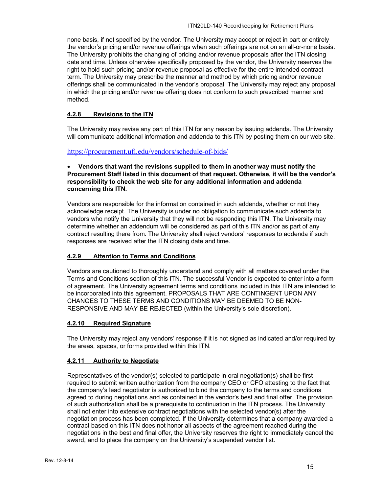none basis, if not specified by the vendor. The University may accept or reject in part or entirely the vendor's pricing and/or revenue offerings when such offerings are not on an all-or-none basis. The University prohibits the changing of pricing and/or revenue proposals after the ITN closing date and time. Unless otherwise specifically proposed by the vendor, the University reserves the right to hold such pricing and/or revenue proposal as effective for the entire intended contract term. The University may prescribe the manner and method by which pricing and/or revenue offerings shall be communicated in the vendor's proposal. The University may reject any proposal in which the pricing and/or revenue offering does not conform to such prescribed manner and method.

## <span id="page-14-0"></span>**4.2.8 Revisions to the ITN**

The University may revise any part of this ITN for any reason by issuing addenda. The University will communicate additional information and addenda to this ITN by posting them on our web site.

#### <https://procurement.ufl.edu/vendors/schedule-of-bids/>

#### • **Vendors that want the revisions supplied to them in another way must notify the Procurement Staff listed in this document of that request. Otherwise, it will be the vendor's responsibility to check the web site for any additional information and addenda concerning this ITN.**

Vendors are responsible for the information contained in such addenda, whether or not they acknowledge receipt. The University is under no obligation to communicate such addenda to vendors who notify the University that they will not be responding this ITN. The University may determine whether an addendum will be considered as part of this ITN and/or as part of any contract resulting there from. The University shall reject vendors' responses to addenda if such responses are received after the ITN closing date and time.

#### <span id="page-14-1"></span>**4.2.9 Attention to Terms and Conditions**

Vendors are cautioned to thoroughly understand and comply with all matters covered under the Terms and Conditions section of this ITN. The successful Vendor is expected to enter into a form of agreement. The University agreement terms and conditions included in this ITN are intended to be incorporated into this agreement. PROPOSALS THAT ARE CONTINGENT UPON ANY CHANGES TO THESE TERMS AND CONDITIONS MAY BE DEEMED TO BE NON-RESPONSIVE AND MAY BE REJECTED (within the University's sole discretion).

#### <span id="page-14-2"></span>**4.2.10 Required Signature**

The University may reject any vendors' response if it is not signed as indicated and/or required by the areas, spaces, or forms provided within this ITN.

#### <span id="page-14-3"></span>**4.2.11 Authority to Negotiate**

Representatives of the vendor(s) selected to participate in oral negotiation(s) shall be first required to submit written authorization from the company CEO or CFO attesting to the fact that the company's lead negotiator is authorized to bind the company to the terms and conditions agreed to during negotiations and as contained in the vendor's best and final offer. The provision of such authorization shall be a prerequisite to continuation in the ITN process. The University shall not enter into extensive contract negotiations with the selected vendor(s) after the negotiation process has been completed. If the University determines that a company awarded a contract based on this ITN does not honor all aspects of the agreement reached during the negotiations in the best and final offer, the University reserves the right to immediately cancel the award, and to place the company on the University's suspended vendor list.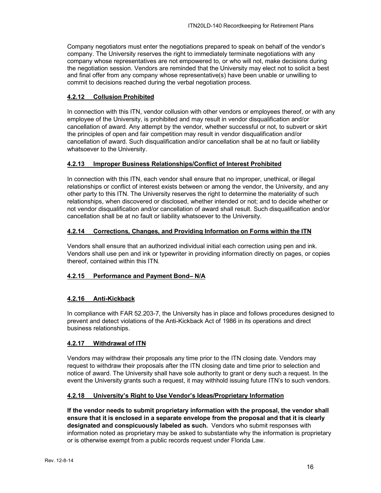Company negotiators must enter the negotiations prepared to speak on behalf of the vendor's company. The University reserves the right to immediately terminate negotiations with any company whose representatives are not empowered to, or who will not, make decisions during the negotiation session. Vendors are reminded that the University may elect not to solicit a best and final offer from any company whose representative(s) have been unable or unwilling to commit to decisions reached during the verbal negotiation process.

#### <span id="page-15-0"></span>**4.2.12 Collusion Prohibited**

In connection with this ITN, vendor collusion with other vendors or employees thereof, or with any employee of the University, is prohibited and may result in vendor disqualification and/or cancellation of award. Any attempt by the vendor, whether successful or not, to subvert or skirt the principles of open and fair competition may result in vendor disqualification and/or cancellation of award. Such disqualification and/or cancellation shall be at no fault or liability whatsoever to the University.

#### <span id="page-15-1"></span>**4.2.13 Improper Business Relationships/Conflict of Interest Prohibited**

In connection with this ITN, each vendor shall ensure that no improper, unethical, or illegal relationships or conflict of interest exists between or among the vendor, the University, and any other party to this ITN. The University reserves the right to determine the materiality of such relationships, when discovered or disclosed, whether intended or not; and to decide whether or not vendor disqualification and/or cancellation of award shall result. Such disqualification and/or cancellation shall be at no fault or liability whatsoever to the University.

#### <span id="page-15-2"></span>**4.2.14 Corrections, Changes, and Providing Information on Forms within the ITN**

Vendors shall ensure that an authorized individual initial each correction using pen and ink. Vendors shall use pen and ink or typewriter in providing information directly on pages, or copies thereof, contained within this ITN.

#### <span id="page-15-3"></span>**4.2.15 Performance and Payment Bond– N/A**

#### <span id="page-15-4"></span>**4.2.16 Anti-Kickback**

In compliance with FAR 52.203-7, the University has in place and follows procedures designed to prevent and detect violations of the Anti-Kickback Act of 1986 in its operations and direct business relationships.

#### <span id="page-15-5"></span>**4.2.17 Withdrawal of ITN**

Vendors may withdraw their proposals any time prior to the ITN closing date. Vendors may request to withdraw their proposals after the ITN closing date and time prior to selection and notice of award. The University shall have sole authority to grant or deny such a request. In the event the University grants such a request, it may withhold issuing future ITN's to such vendors.

#### <span id="page-15-6"></span>**4.2.18 University's Right to Use Vendor's Ideas/Proprietary Information**

**If the vendor needs to submit proprietary information with the proposal, the vendor shall ensure that it is enclosed in a separate envelope from the proposal and that it is clearly designated and conspicuously labeled as such.** Vendors who submit responses with information noted as proprietary may be asked to substantiate why the information is proprietary or is otherwise exempt from a public records request under Florida Law.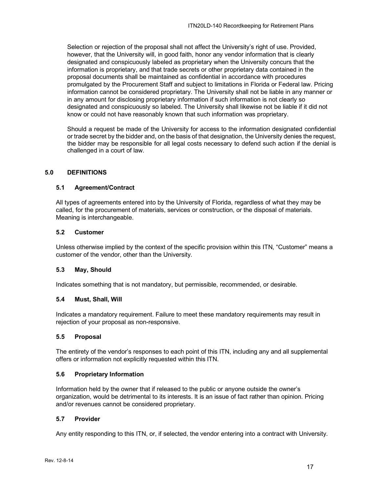Selection or rejection of the proposal shall not affect the University's right of use. Provided, however, that the University will, in good faith, honor any vendor information that is clearly designated and conspicuously labeled as proprietary when the University concurs that the information is proprietary, and that trade secrets or other proprietary data contained in the proposal documents shall be maintained as confidential in accordance with procedures promulgated by the Procurement Staff and subject to limitations in Florida or Federal law. Pricing information cannot be considered proprietary. The University shall not be liable in any manner or in any amount for disclosing proprietary information if such information is not clearly so designated and conspicuously so labeled. The University shall likewise not be liable if it did not know or could not have reasonably known that such information was proprietary.

Should a request be made of the University for access to the information designated confidential or trade secret by the bidder and, on the basis of that designation, the University denies the request, the bidder may be responsible for all legal costs necessary to defend such action if the denial is challenged in a court of law.

#### <span id="page-16-0"></span>**5.0 DEFINITIONS**

#### <span id="page-16-1"></span>**5.1 Agreement/Contract**

All types of agreements entered into by the University of Florida, regardless of what they may be called, for the procurement of materials, services or construction, or the disposal of materials. Meaning is interchangeable.

#### <span id="page-16-2"></span>**5.2 Customer**

Unless otherwise implied by the context of the specific provision within this ITN, "Customer" means a customer of the vendor, other than the University.

#### <span id="page-16-3"></span>**5.3 May, Should**

Indicates something that is not mandatory, but permissible, recommended, or desirable.

#### <span id="page-16-4"></span>**5.4 Must, Shall, Will**

Indicates a mandatory requirement. Failure to meet these mandatory requirements may result in rejection of your proposal as non-responsive.

#### <span id="page-16-5"></span>**5.5 Proposal**

The entirety of the vendor's responses to each point of this ITN, including any and all supplemental offers or information not explicitly requested within this ITN.

#### <span id="page-16-6"></span>**5.6 Proprietary Information**

Information held by the owner that if released to the public or anyone outside the owner's organization, would be detrimental to its interests. It is an issue of fact rather than opinion. Pricing and/or revenues cannot be considered proprietary.

#### <span id="page-16-7"></span>**5.7 Provider**

Any entity responding to this ITN, or, if selected, the vendor entering into a contract with University.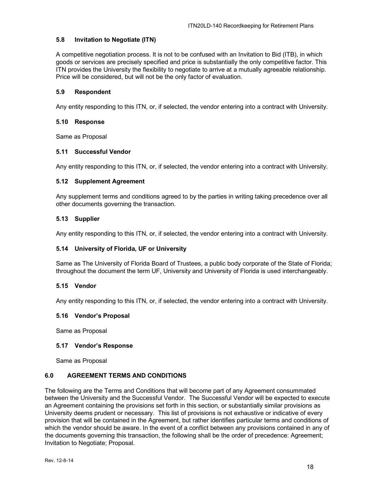#### <span id="page-17-0"></span>**5.8 Invitation to Negotiate (ITN)**

A competitive negotiation process. It is not to be confused with an Invitation to Bid (ITB), in which goods or services are precisely specified and price is substantially the only competitive factor. This ITN provides the University the flexibility to negotiate to arrive at a mutually agreeable relationship. Price will be considered, but will not be the only factor of evaluation.

#### <span id="page-17-1"></span>**5.9 Respondent**

Any entity responding to this ITN, or, if selected, the vendor entering into a contract with University.

#### <span id="page-17-2"></span>**5.10 Response**

Same as Proposal

#### <span id="page-17-3"></span>**5.11 Successful Vendor**

Any entity responding to this ITN, or, if selected, the vendor entering into a contract with University.

#### <span id="page-17-4"></span>**5.12 Supplement Agreement**

Any supplement terms and conditions agreed to by the parties in writing taking precedence over all other documents governing the transaction.

#### <span id="page-17-5"></span>**5.13 Supplier**

Any entity responding to this ITN, or, if selected, the vendor entering into a contract with University.

#### <span id="page-17-6"></span>**5.14 University of Florida, UF or University**

Same as The University of Florida Board of Trustees, a public body corporate of the State of Florida; throughout the document the term UF, University and University of Florida is used interchangeably.

#### <span id="page-17-7"></span>**5.15 Vendor**

Any entity responding to this ITN, or, if selected, the vendor entering into a contract with University.

#### <span id="page-17-8"></span>**5.16 Vendor's Proposal**

Same as Proposal

#### <span id="page-17-9"></span>**5.17 Vendor's Response**

Same as Proposal

#### <span id="page-17-10"></span>**6.0 AGREEMENT TERMS AND CONDITIONS**

The following are the Terms and Conditions that will become part of any Agreement consummated between the University and the Successful Vendor. The Successful Vendor will be expected to execute an Agreement containing the provisions set forth in this section, or substantially similar provisions as University deems prudent or necessary. This list of provisions is not exhaustive or indicative of every provision that will be contained in the Agreement, but rather identifies particular terms and conditions of which the vendor should be aware. In the event of a conflict between any provisions contained in any of the documents governing this transaction, the following shall be the order of precedence: Agreement; Invitation to Negotiate; Proposal.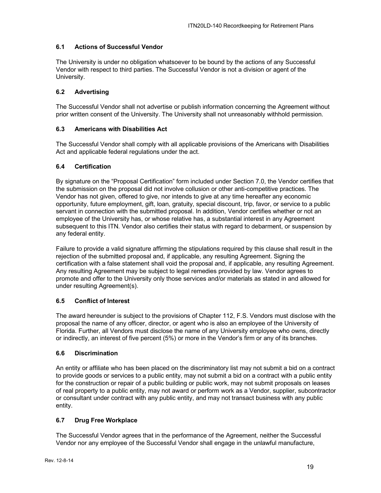## <span id="page-18-0"></span>**6.1 Actions of Successful Vendor**

The University is under no obligation whatsoever to be bound by the actions of any Successful Vendor with respect to third parties. The Successful Vendor is not a division or agent of the University.

#### <span id="page-18-1"></span>**6.2 Advertising**

The Successful Vendor shall not advertise or publish information concerning the Agreement without prior written consent of the University. The University shall not unreasonably withhold permission.

#### <span id="page-18-2"></span>**6.3 Americans with Disabilities Act**

The Successful Vendor shall comply with all applicable provisions of the Americans with Disabilities Act and applicable federal regulations under the act.

#### <span id="page-18-3"></span>**6.4 Certification**

By signature on the "Proposal Certification" form included under Section 7.0, the Vendor certifies that the submission on the proposal did not involve collusion or other anti-competitive practices. The Vendor has not given, offered to give, nor intends to give at any time hereafter any economic opportunity, future employment, gift, loan, gratuity, special discount, trip, favor, or service to a public servant in connection with the submitted proposal. In addition, Vendor certifies whether or not an employee of the University has, or whose relative has, a substantial interest in any Agreement subsequent to this ITN. Vendor also certifies their status with regard to debarment, or suspension by any federal entity.

Failure to provide a valid signature affirming the stipulations required by this clause shall result in the rejection of the submitted proposal and, if applicable, any resulting Agreement. Signing the certification with a false statement shall void the proposal and, if applicable, any resulting Agreement. Any resulting Agreement may be subject to legal remedies provided by law. Vendor agrees to promote and offer to the University only those services and/or materials as stated in and allowed for under resulting Agreement(s).

#### <span id="page-18-4"></span>**6.5 Conflict of Interest**

The award hereunder is subject to the provisions of Chapter 112, F.S. Vendors must disclose with the proposal the name of any officer, director, or agent who is also an employee of the University of Florida. Further, all Vendors must disclose the name of any University employee who owns, directly or indirectly, an interest of five percent (5%) or more in the Vendor's firm or any of its branches.

#### <span id="page-18-5"></span>**6.6 Discrimination**

An entity or affiliate who has been placed on the discriminatory list may not submit a bid on a contract to provide goods or services to a public entity, may not submit a bid on a contract with a public entity for the construction or repair of a public building or public work, may not submit proposals on leases of real property to a public entity, may not award or perform work as a Vendor, supplier, subcontractor or consultant under contract with any public entity, and may not transact business with any public entity.

#### <span id="page-18-6"></span>**6.7 Drug Free Workplace**

The Successful Vendor agrees that in the performance of the Agreement, neither the Successful Vendor nor any employee of the Successful Vendor shall engage in the unlawful manufacture,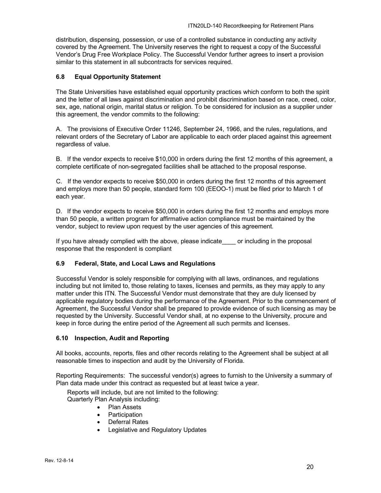distribution, dispensing, possession, or use of a controlled substance in conducting any activity covered by the Agreement. The University reserves the right to request a copy of the Successful Vendor's Drug Free Workplace Policy. The Successful Vendor further agrees to insert a provision similar to this statement in all subcontracts for services required.

#### <span id="page-19-0"></span>**6.8 Equal Opportunity Statement**

The State Universities have established equal opportunity practices which conform to both the spirit and the letter of all laws against discrimination and prohibit discrimination based on race, creed, color, sex, age, national origin, marital status or religion. To be considered for inclusion as a supplier under this agreement, the vendor commits to the following:

A. The provisions of Executive Order 11246, September 24, 1966, and the rules, regulations, and relevant orders of the Secretary of Labor are applicable to each order placed against this agreement regardless of value.

B. If the vendor expects to receive \$10,000 in orders during the first 12 months of this agreement, a complete certificate of non-segregated facilities shall be attached to the proposal response.

C. If the vendor expects to receive \$50,000 in orders during the first 12 months of this agreement and employs more than 50 people, standard form 100 (EEOO-1) must be filed prior to March 1 of each year.

D. If the vendor expects to receive \$50,000 in orders during the first 12 months and employs more than 50 people, a written program for affirmative action compliance must be maintained by the vendor, subject to review upon request by the user agencies of this agreement.

If you have already complied with the above, please indicate or including in the proposal response that the respondent is compliant

#### <span id="page-19-1"></span>**6.9 Federal, State, and Local Laws and Regulations**

Successful Vendor is solely responsible for complying with all laws, ordinances, and regulations including but not limited to, those relating to taxes, licenses and permits, as they may apply to any matter under this ITN. The Successful Vendor must demonstrate that they are duly licensed by applicable regulatory bodies during the performance of the Agreement. Prior to the commencement of Agreement, the Successful Vendor shall be prepared to provide evidence of such licensing as may be requested by the University. Successful Vendor shall, at no expense to the University, procure and keep in force during the entire period of the Agreement all such permits and licenses.

#### <span id="page-19-2"></span>**6.10 Inspection, Audit and Reporting**

All books, accounts, reports, files and other records relating to the Agreement shall be subject at all reasonable times to inspection and audit by the University of Florida.

Reporting Requirements: The successful vendor(s) agrees to furnish to the University a summary of Plan data made under this contract as requested but at least twice a year.

Reports will include, but are not limited to the following:

- Quarterly Plan Analysis including:
	- Plan Assets
	- Participation
	- Deferral Rates
	- Legislative and Regulatory Updates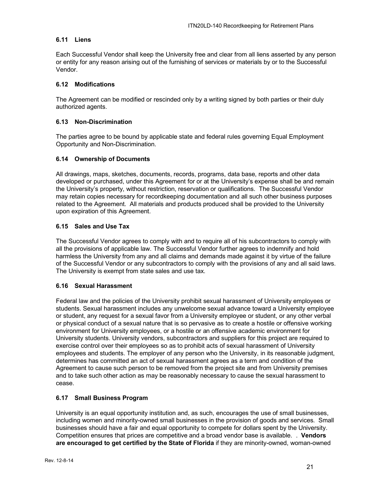#### <span id="page-20-0"></span>**6.11 Liens**

Each Successful Vendor shall keep the University free and clear from all liens asserted by any person or entity for any reason arising out of the furnishing of services or materials by or to the Successful Vendor.

#### <span id="page-20-1"></span>**6.12 Modifications**

The Agreement can be modified or rescinded only by a writing signed by both parties or their duly authorized agents.

#### <span id="page-20-2"></span>**6.13 Non-Discrimination**

The parties agree to be bound by applicable state and federal rules governing Equal Employment Opportunity and Non-Discrimination.

#### <span id="page-20-3"></span>**6.14 Ownership of Documents**

All drawings, maps, sketches, documents, records, programs, data base, reports and other data developed or purchased, under this Agreement for or at the University's expense shall be and remain the University's property, without restriction, reservation or qualifications. The Successful Vendor may retain copies necessary for recordkeeping documentation and all such other business purposes related to the Agreement. All materials and products produced shall be provided to the University upon expiration of this Agreement.

#### <span id="page-20-4"></span>**6.15 Sales and Use Tax**

The Successful Vendor agrees to comply with and to require all of his subcontractors to comply with all the provisions of applicable law. The Successful Vendor further agrees to indemnify and hold harmless the University from any and all claims and demands made against it by virtue of the failure of the Successful Vendor or any subcontractors to comply with the provisions of any and all said laws. The University is exempt from state sales and use tax.

#### <span id="page-20-5"></span>**6.16 Sexual Harassment**

Federal law and the policies of the University prohibit sexual harassment of University employees or students. Sexual harassment includes any unwelcome sexual advance toward a University employee or student, any request for a sexual favor from a University employee or student, or any other verbal or physical conduct of a sexual nature that is so pervasive as to create a hostile or offensive working environment for University employees, or a hostile or an offensive academic environment for University students. University vendors, subcontractors and suppliers for this project are required to exercise control over their employees so as to prohibit acts of sexual harassment of University employees and students. The employer of any person who the University, in its reasonable judgment, determines has committed an act of sexual harassment agrees as a term and condition of the Agreement to cause such person to be removed from the project site and from University premises and to take such other action as may be reasonably necessary to cause the sexual harassment to cease.

#### <span id="page-20-6"></span>**6.17 Small Business Program**

University is an equal opportunity institution and, as such, encourages the use of small businesses, including women and minority-owned small businesses in the provision of goods and services. Small businesses should have a fair and equal opportunity to compete for dollars spent by the University. Competition ensures that prices are competitive and a broad vendor base is available. . **Vendors are encouraged to get certified by the State of Florida** if they are minority-owned, woman-owned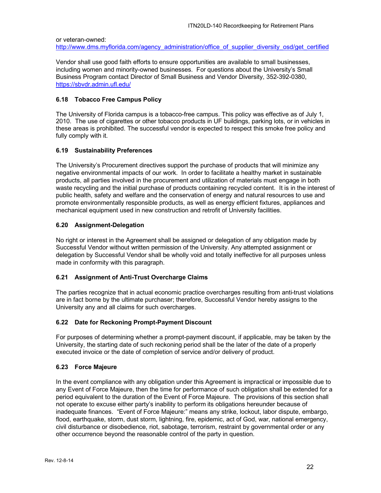or veteran-owned:

[http://www.dms.myflorida.com/agency\\_administration/office\\_of\\_supplier\\_diversity\\_osd/get\\_certified](http://www.dms.myflorida.com/agency_administration/office_of_supplier_diversity_osd/get_certified)

Vendor shall use good faith efforts to ensure opportunities are available to small businesses, including women and minority-owned businesses. For questions about the University's Small Business Program contact Director of Small Business and Vendor Diversity, 352-392-0380, <https://sbvdr.admin.ufl.edu/>

#### <span id="page-21-0"></span>**6.18 Tobacco Free Campus Policy**

The University of Florida campus is a tobacco-free campus. This policy was effective as of July 1, 2010. The use of cigarettes or other tobacco products in UF buildings, parking lots, or in vehicles in these areas is prohibited. The successful vendor is expected to respect this smoke free policy and fully comply with it.

#### <span id="page-21-1"></span>**6.19 Sustainability Preferences**

The University's Procurement directives support the purchase of products that will minimize any negative environmental impacts of our work. In order to facilitate a healthy market in sustainable products, all parties involved in the procurement and utilization of materials must engage in both waste recycling and the initial purchase of products containing recycled content. It is in the interest of public health, safety and welfare and the conservation of energy and natural resources to use and promote environmentally responsible products, as well as energy efficient fixtures, appliances and mechanical equipment used in new construction and retrofit of University facilities.

#### <span id="page-21-2"></span>**6.20 Assignment-Delegation**

No right or interest in the Agreement shall be assigned or delegation of any obligation made by Successful Vendor without written permission of the University. Any attempted assignment or delegation by Successful Vendor shall be wholly void and totally ineffective for all purposes unless made in conformity with this paragraph.

#### <span id="page-21-3"></span>**6.21 Assignment of Anti-Trust Overcharge Claims**

The parties recognize that in actual economic practice overcharges resulting from anti-trust violations are in fact borne by the ultimate purchaser; therefore, Successful Vendor hereby assigns to the University any and all claims for such overcharges.

#### <span id="page-21-4"></span>**6.22 Date for Reckoning Prompt-Payment Discount**

For purposes of determining whether a prompt-payment discount, if applicable, may be taken by the University, the starting date of such reckoning period shall be the later of the date of a properly executed invoice or the date of completion of service and/or delivery of product.

#### <span id="page-21-5"></span>**6.23 Force Majeure**

In the event compliance with any obligation under this Agreement is impractical or impossible due to any Event of Force Majeure, then the time for performance of such obligation shall be extended for a period equivalent to the duration of the Event of Force Majeure. The provisions of this section shall not operate to excuse either party's inability to perform its obligations hereunder because of inadequate finances. "Event of Force Majeure:" means any strike, lockout, labor dispute, embargo, flood, earthquake, storm, dust storm, lightning, fire, epidemic, act of God, war, national emergency, civil disturbance or disobedience, riot, sabotage, terrorism, restraint by governmental order or any other occurrence beyond the reasonable control of the party in question.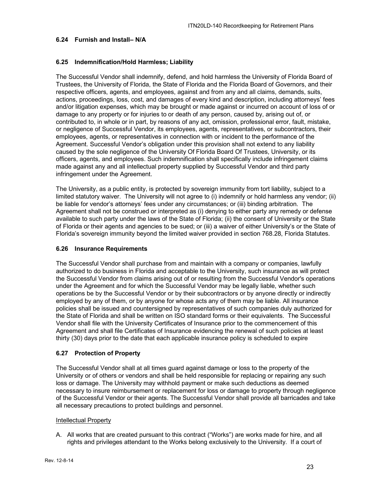#### <span id="page-22-0"></span>**6.24 Furnish and Install– N/A**

#### <span id="page-22-1"></span>**6.25 Indemnification/Hold Harmless; Liability**

The Successful Vendor shall indemnify, defend, and hold harmless the University of Florida Board of Trustees, the University of Florida, the State of Florida and the Florida Board of Governors, and their respective officers, agents, and employees, against and from any and all claims, demands, suits, actions, proceedings, loss, cost, and damages of every kind and description, including attorneys' fees and/or litigation expenses, which may be brought or made against or incurred on account of loss of or damage to any property or for injuries to or death of any person, caused by, arising out of, or contributed to, in whole or in part, by reasons of any act, omission, professional error, fault, mistake, or negligence of Successful Vendor, its employees, agents, representatives, or subcontractors, their employees, agents, or representatives in connection with or incident to the performance of the Agreement. Successful Vendor's obligation under this provision shall not extend to any liability caused by the sole negligence of the University Of Florida Board Of Trustees, University, or its officers, agents, and employees. Such indemnification shall specifically include infringement claims made against any and all intellectual property supplied by Successful Vendor and third party infringement under the Agreement.

The University, as a public entity, is protected by sovereign immunity from tort liability, subject to a limited statutory waiver. The University will not agree to (i) indemnify or hold harmless any vendor; (ii) be liable for vendor's attorneys' fees under any circumstances; or (iii) binding arbitration. The Agreement shall not be construed or interpreted as (i) denying to either party any remedy or defense available to such party under the laws of the State of Florida; (ii) the consent of University or the State of Florida or their agents and agencies to be sued; or (iii) a waiver of either University's or the State of Florida's sovereign immunity beyond the limited waiver provided in section 768.28, Florida Statutes.

#### <span id="page-22-2"></span>**6.26 Insurance Requirements**

The Successful Vendor shall purchase from and maintain with a company or companies, lawfully authorized to do business in Florida and acceptable to the University, such insurance as will protect the Successful Vendor from claims arising out of or resulting from the Successful Vendor's operations under the Agreement and for which the Successful Vendor may be legally liable, whether such operations be by the Successful Vendor or by their subcontractors or by anyone directly or indirectly employed by any of them, or by anyone for whose acts any of them may be liable. All insurance policies shall be issued and countersigned by representatives of such companies duly authorized for the State of Florida and shall be written on ISO standard forms or their equivalents. The Successful Vendor shall file with the University Certificates of Insurance prior to the commencement of this Agreement and shall file Certificates of Insurance evidencing the renewal of such policies at least thirty (30) days prior to the date that each applicable insurance policy is scheduled to expire

#### <span id="page-22-3"></span>**6.27 Protection of Property**

The Successful Vendor shall at all times guard against damage or loss to the property of the University or of others or vendors and shall be held responsible for replacing or repairing any such loss or damage. The University may withhold payment or make such deductions as deemed necessary to insure reimbursement or replacement for loss or damage to property through negligence of the Successful Vendor or their agents. The Successful Vendor shall provide all barricades and take all necessary precautions to protect buildings and personnel.

#### Intellectual Property

A. All works that are created pursuant to this contract ("Works") are works made for hire, and all rights and privileges attendant to the Works belong exclusively to the University. If a court of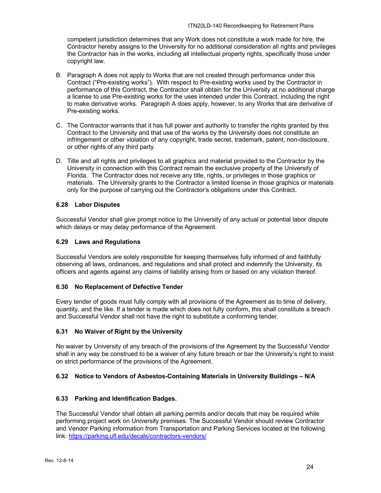competent jurisdiction determines that any Work does not constitute a work made for hire, the Contractor hereby assigns to the University for no additional consideration all rights and privileges the Contractor has in the works, including all intellectual property rights, specifically those under copyright law.

- B. Paragraph A does not apply to Works that are not created through performance under this Contract ("Pre-existing works"). With respect to Pre-existing works used by the Contractor in performance of this Contract, the Contractor shall obtain for the University at no additional charge a license to use Pre-existing works for the uses intended under this Contract, including the right to make derivative works. Paragraph A does apply, however, to any Works that are derivative of Pre-existing works.
- C. The Contractor warrants that it has full power and authority to transfer the rights granted by this Contract to the University and that use of the works by the University does not constitute an infringement or other violation of any copyright, trade secret, trademark, patent, non-disclosure, or other rights of any third party.
- D. Title and all rights and privileges to all graphics and material provided to the Contractor by the University in connection with this Contract remain the exclusive property of the University of Florida. The Contractor does not receive any title, rights, or privileges in those graphics or materials. The University grants to the Contractor a limited license in those graphics or materials only for the purpose of carrying out the Contractor's obligations under this Contract.

## <span id="page-23-0"></span>**6.28 Labor Disputes**

Successful Vendor shall give prompt notice to the University of any actual or potential labor dispute which delays or may delay performance of the Agreement.

#### <span id="page-23-1"></span>**6.29 Laws and Regulations**

Successful Vendors are solely responsible for keeping themselves fully informed of and faithfully observing all laws, ordinances, and regulations and shall protect and indemnify the University, its officers and agents against any claims of liability arising from or based on any violation thereof.

#### <span id="page-23-2"></span>**6.30 No Replacement of Defective Tender**

Every tender of goods must fully comply with all provisions of the Agreement as to time of delivery, quantity, and the like. If a tender is made which does not fully conform, this shall constitute a breach and Successful Vendor shall not have the right to substitute a conforming tender.

#### <span id="page-23-3"></span>**6.31 No Waiver of Right by the University**

No waiver by University of any breach of the provisions of the Agreement by the Successful Vendor shall in any way be construed to be a waiver of any future breach or bar the University's right to insist on strict performance of the provisions of the Agreement.

#### <span id="page-23-4"></span>**6.32 Notice to Vendors of Asbestos-Containing Materials in University Buildings – N/A**

#### <span id="page-23-5"></span>**6.33 Parking and Identification Badges.**

The Successful Vendor shall obtain all parking permits and/or decals that may be required while performing project work on University premises. The Successful Vendor should review Contractor and Vendor Parking information from Transportation and Parking Services located at the following link:<https://parking.ufl.edu/decals/contractors-vendors/>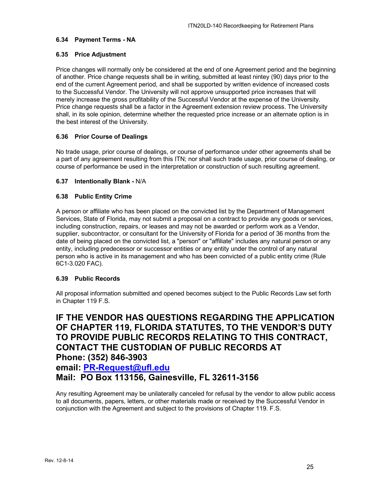#### <span id="page-24-0"></span>**6.34 Payment Terms - NA**

#### <span id="page-24-1"></span>**6.35 Price Adjustment**

Price changes will normally only be considered at the end of one Agreement period and the beginning of another. Price change requests shall be in writing, submitted at least nintey (90) days prior to the end of the current Agreement period, and shall be supported by written evidence of increased costs to the Successful Vendor. The University will not approve unsupported price increases that will merely increase the gross profitability of the Successful Vendor at the expense of the University. Price change requests shall be a factor in the Agreement extension review process. The University shall, in its sole opinion, determine whether the requested price increase or an alternate option is in the best interest of the University.

#### <span id="page-24-2"></span>**6.36 Prior Course of Dealings**

No trade usage, prior course of dealings, or course of performance under other agreements shall be a part of any agreement resulting from this ITN; nor shall such trade usage, prior course of dealing, or course of performance be used in the interpretation or construction of such resulting agreement.

#### <span id="page-24-3"></span>**6.37 Intentionally Blank -** N/A

#### <span id="page-24-4"></span>**6.38 Public Entity Crime**

A person or affiliate who has been placed on the convicted list by the Department of Management Services, State of Florida, may not submit a proposal on a contract to provide any goods or services, including construction, repairs, or leases and may not be awarded or perform work as a Vendor, supplier, subcontractor, or consultant for the University of Florida for a period of 36 months from the date of being placed on the convicted list, a "person" or "affiliate" includes any natural person or any entity, including predecessor or successor entities or any entity under the control of any natural person who is active in its management and who has been convicted of a public entity crime (Rule 6C1-3.020 FAC).

#### <span id="page-24-5"></span>**6.39 Public Records**

All proposal information submitted and opened becomes subject to the Public Records Law set forth in Chapter 119 F.S.

## **IF THE VENDOR HAS QUESTIONS REGARDING THE APPLICATION OF CHAPTER 119, FLORIDA STATUTES, TO THE VENDOR'S DUTY TO PROVIDE PUBLIC RECORDS RELATING TO THIS CONTRACT, CONTACT THE CUSTODIAN OF PUBLIC RECORDS AT Phone: (352) 846-3903**

## **email: [PR-Request@ufl.edu](mailto:PR-Request@ufl.edu)**

**Mail: PO Box 113156, Gainesville, FL 32611-3156**

Any resulting Agreement may be unilaterally canceled for refusal by the vendor to allow public access to all documents, papers, letters, or other materials made or received by the Successful Vendor in conjunction with the Agreement and subject to the provisions of Chapter 119. F.S.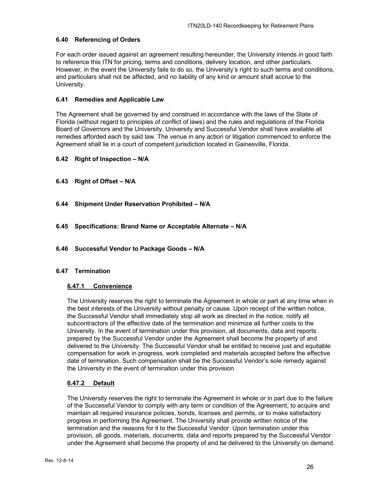## <span id="page-25-0"></span>**6.40 Referencing of Orders**

For each order issued against an agreement resulting hereunder, the University intends in good faith to reference this ITN for pricing, terms and conditions, delivery location, and other particulars. However, in the event the University fails to do so, the University's right to such terms and conditions, and particulars shall not be affected, and no liability of any kind or amount shall accrue to the University.

#### <span id="page-25-1"></span>**6.41 Remedies and Applicable Law**

The Agreement shall be governed by and construed in accordance with the laws of the State of Florida (without regard to principles of conflict of laws) and the rules and regulations of the Florida Board of Governors and the University. University and Successful Vendor shall have available all remedies afforded each by said law. The venue in any action or litigation commenced to enforce the Agreement shall lie in a court of competent jurisdiction located in Gainesville, Florida.

#### <span id="page-25-2"></span>**6.42 Right of Inspection – N/A**

- <span id="page-25-3"></span>**6.43 Right of Offset – N/A**
- <span id="page-25-4"></span>**6.44 Shipment Under Reservation Prohibited – N/A**
- <span id="page-25-5"></span>**6.45 Specifications: Brand Name or Acceptable Alternate – N/A**
- <span id="page-25-6"></span>**6.46 Successful Vendor to Package Goods – N/A**

#### <span id="page-25-8"></span><span id="page-25-7"></span>**6.47 Termination**

#### **6.47.1 Convenience**

The University reserves the right to terminate the Agreement in whole or part at any time when in the best interests of the University without penalty or cause. Upon receipt of the written notice, the Successful Vendor shall immediately stop all work as directed in the notice, notify all subcontractors of the effective date of the termination and minimize all further costs to the University. In the event of termination under this provision, all documents, data and reports prepared by the Successful Vendor under the Agreement shall become the property of and delivered to the University. The Successful Vendor shall be entitled to receive just and equitable compensation for work in progress, work completed and materials accepted before the effective date of termination. Such compensation shall be the Successful Vendor's sole remedy against the University in the event of termination under this provision.

#### <span id="page-25-9"></span>**6.47.2 Default**

The University reserves the right to terminate the Agreement in whole or in part due to the failure of the Successful Vendor to comply with any term or condition of the Agreement, to acquire and maintain all required insurance policies, bonds, licenses and permits, or to make satisfactory progress in performing the Agreement. The University shall provide written notice of the termination and the reasons for it to the Successful Vendor. Upon termination under this provision, all goods, materials, documents, data and reports prepared by the Successful Vendor under the Agreement shall become the property of and be delivered to the University on demand.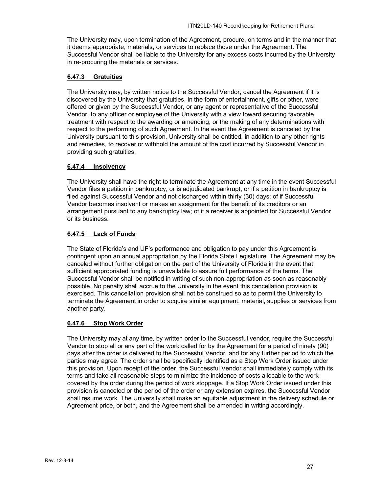The University may, upon termination of the Agreement, procure, on terms and in the manner that it deems appropriate, materials, or services to replace those under the Agreement. The Successful Vendor shall be liable to the University for any excess costs incurred by the University in re-procuring the materials or services.

## <span id="page-26-0"></span>**6.47.3 Gratuities**

The University may, by written notice to the Successful Vendor, cancel the Agreement if it is discovered by the University that gratuities, in the form of entertainment, gifts or other, were offered or given by the Successful Vendor, or any agent or representative of the Successful Vendor, to any officer or employee of the University with a view toward securing favorable treatment with respect to the awarding or amending, or the making of any determinations with respect to the performing of such Agreement. In the event the Agreement is canceled by the University pursuant to this provision, University shall be entitled, in addition to any other rights and remedies, to recover or withhold the amount of the cost incurred by Successful Vendor in providing such gratuities.

## <span id="page-26-1"></span>**6.47.4 Insolvency**

The University shall have the right to terminate the Agreement at any time in the event Successful Vendor files a petition in bankruptcy; or is adjudicated bankrupt; or if a petition in bankruptcy is filed against Successful Vendor and not discharged within thirty (30) days; of if Successful Vendor becomes insolvent or makes an assignment for the benefit of its creditors or an arrangement pursuant to any bankruptcy law; of if a receiver is appointed for Successful Vendor or its business.

## <span id="page-26-2"></span>**6.47.5 Lack of Funds**

The State of Florida's and UF's performance and obligation to pay under this Agreement is contingent upon an annual appropriation by the Florida State Legislature. The Agreement may be canceled without further obligation on the part of the University of Florida in the event that sufficient appropriated funding is unavailable to assure full performance of the terms. The Successful Vendor shall be notified in writing of such non-appropriation as soon as reasonably possible. No penalty shall accrue to the University in the event this cancellation provision is exercised. This cancellation provision shall not be construed so as to permit the University to terminate the Agreement in order to acquire similar equipment, material, supplies or services from another party.

## <span id="page-26-3"></span>**6.47.6 Stop Work Order**

The University may at any time, by written order to the Successful vendor, require the Successful Vendor to stop all or any part of the work called for by the Agreement for a period of ninety (90) days after the order is delivered to the Successful Vendor, and for any further period to which the parties may agree. The order shall be specifically identified as a Stop Work Order issued under this provision. Upon receipt of the order, the Successful Vendor shall immediately comply with its terms and take all reasonable steps to minimize the incidence of costs allocable to the work covered by the order during the period of work stoppage. If a Stop Work Order issued under this provision is canceled or the period of the order or any extension expires, the Successful Vendor shall resume work. The University shall make an equitable adjustment in the delivery schedule or Agreement price, or both, and the Agreement shall be amended in writing accordingly.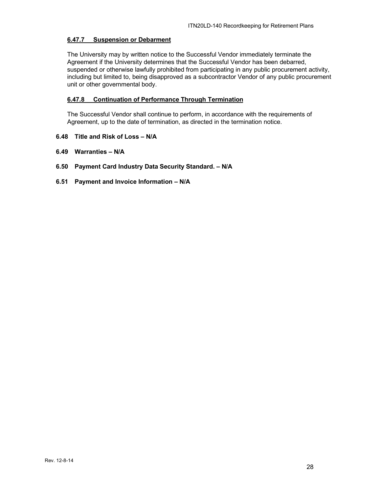#### <span id="page-27-0"></span>**6.47.7 Suspension or Debarment**

The University may by written notice to the Successful Vendor immediately terminate the Agreement if the University determines that the Successful Vendor has been debarred, suspended or otherwise lawfully prohibited from participating in any public procurement activity, including but limited to, being disapproved as a subcontractor Vendor of any public procurement unit or other governmental body.

## <span id="page-27-1"></span>**6.47.8 Continuation of Performance Through Termination**

The Successful Vendor shall continue to perform, in accordance with the requirements of Agreement, up to the date of termination, as directed in the termination notice.

- <span id="page-27-2"></span>**6.48 Title and Risk of Loss – N/A**
- <span id="page-27-3"></span>**6.49 Warranties – N/A**
- <span id="page-27-4"></span>**6.50 Payment Card Industry Data Security Standard. – N/A**
- <span id="page-27-5"></span>**6.51 Payment and Invoice Information – N/A**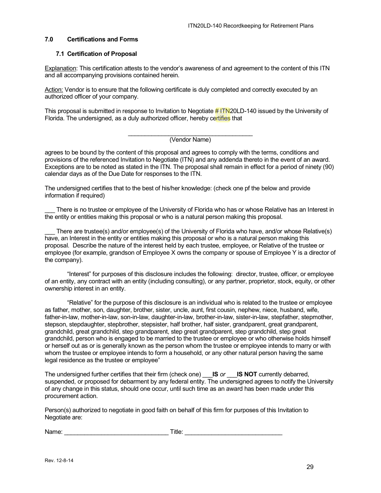#### <span id="page-28-0"></span>**7.0 Certifications and Forms**

#### <span id="page-28-1"></span>**7.1 Certification of Proposal**

Explanation: This certification attests to the vendor's awareness of and agreement to the content of this ITN and all accompanying provisions contained herein.

Action: Vendor is to ensure that the following certificate is duly completed and correctly executed by an authorized officer of your company.

This proposal is submitted in response to Invitation to Negotiate # ITN20LD-140 issued by the University of Florida. The undersigned, as a duly authorized officer, hereby certifies that

#### \_\_\_\_\_\_\_\_\_\_\_\_\_\_\_\_\_\_\_\_\_\_\_\_\_\_\_\_\_\_\_\_\_\_\_\_\_ (Vendor Name)

agrees to be bound by the content of this proposal and agrees to comply with the terms, conditions and provisions of the referenced Invitation to Negotiate (ITN) and any addenda thereto in the event of an award. Exceptions are to be noted as stated in the ITN. The proposal shall remain in effect for a period of ninety (90) calendar days as of the Due Date for responses to the ITN.

The undersigned certifies that to the best of his/her knowledge: (check one pf the below and provide information if required)

There is no trustee or employee of the University of Florida who has or whose Relative has an Interest in the entity or entities making this proposal or who is a natural person making this proposal.

There are trustee(s) and/or employee(s) of the University of Florida who have, and/or whose Relative(s) have, an Interest in the entity or entities making this proposal or who is a natural person making this proposal. Describe the nature of the interest held by each trustee, employee, or Relative of the trustee or employee (for example, grandson of Employee X owns the company or spouse of Employee Y is a director of the company).

"Interest" for purposes of this disclosure includes the following: director, trustee, officer, or employee of an entity, any contract with an entity (including consulting), or any partner, proprietor, stock, equity, or other ownership interest in an entity.

"Relative" for the purpose of this disclosure is an individual who is related to the trustee or employee as father, mother, son, daughter, brother, sister, uncle, aunt, first cousin, nephew, niece, husband, wife, father-in-law, mother-in-law, son-in-law, daughter-in-law, brother-in-law, sister-in-law, stepfather, stepmother, stepson, stepdaughter, stepbrother, stepsister, half brother, half sister, grandparent, great grandparent, grandchild, great grandchild, step grandparent, step great grandparent, step grandchild, step great grandchild, person who is engaged to be married to the trustee or employee or who otherwise holds himself or herself out as or is generally known as the person whom the trustee or employee intends to marry or with whom the trustee or employee intends to form a household, or any other natural person having the same legal residence as the trustee or employee"

The undersigned further certifies that their firm (check one) \_\_\_**IS** *or* \_\_\_**IS NOT** currently debarred, suspended, or proposed for debarment by any federal entity. The undersigned agrees to notify the University of any change in this status, should one occur, until such time as an award has been made under this procurement action.

Person(s) authorized to negotiate in good faith on behalf of this firm for purposes of this Invitation to Negotiate are:

Name: example and the set of  $\blacksquare$  Title:  $\blacksquare$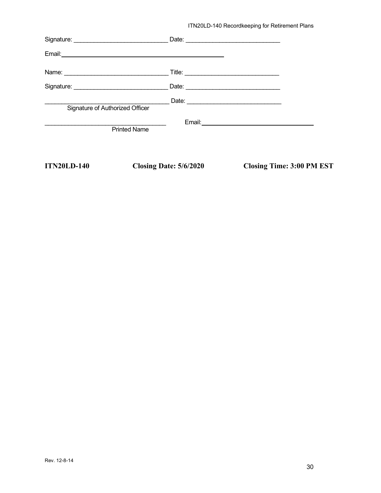ITN20LD-140 Recordkeeping for Retirement Plans

| <b>ITN20LD-140</b>              | Closing Date: 5/6/2020 | <b>Closing Time: 3:00 PM EST</b>               |
|---------------------------------|------------------------|------------------------------------------------|
|                                 | <b>Printed Name</b>    |                                                |
| Signature of Authorized Officer |                        |                                                |
|                                 |                        |                                                |
|                                 |                        |                                                |
|                                 |                        |                                                |
|                                 |                        | Date: <u>_________________________________</u> |